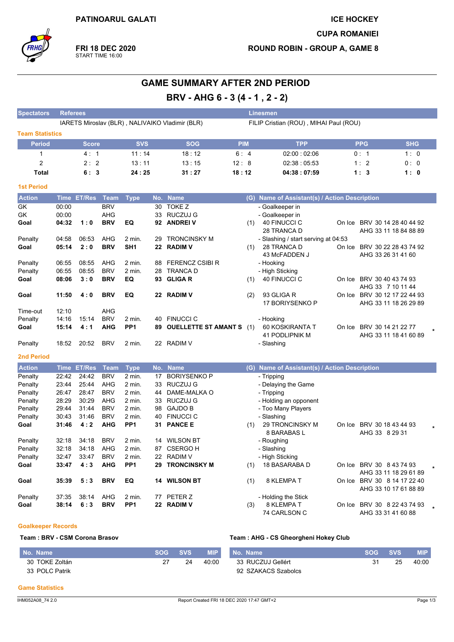

**GAME SUMMARY AFTER 2ND PERIOD** 

|                        |             |                                    |             |                           |    | BRV - AHG 6 - 3 (4 - 1, 2 - 2)                  |                                        |                                               |  |                                                       |                       |  |  |  |
|------------------------|-------------|------------------------------------|-------------|---------------------------|----|-------------------------------------------------|----------------------------------------|-----------------------------------------------|--|-------------------------------------------------------|-----------------------|--|--|--|
| <b>Spectators</b>      |             | <b>Referees</b><br><b>Linesmen</b> |             |                           |    |                                                 |                                        |                                               |  |                                                       |                       |  |  |  |
|                        |             |                                    |             |                           |    | IARETS Miroslav (BLR), NALIVAIKO Vladimir (BLR) | FILIP Cristian (ROU), MIHAI Paul (ROU) |                                               |  |                                                       |                       |  |  |  |
| <b>Team Statistics</b> |             |                                    |             |                           |    |                                                 |                                        |                                               |  |                                                       |                       |  |  |  |
| <b>Period</b>          |             | <b>Score</b>                       |             | <b>SVS</b>                |    | <b>SOG</b>                                      | <b>PIM</b>                             | <b>TPP</b>                                    |  | <b>PPG</b>                                            | <b>SHG</b>            |  |  |  |
| 1                      |             | 4:1                                |             | 11:14                     |    | 18:12                                           | 6:4                                    | 02:00:02:06                                   |  | 0:1                                                   | 1:0                   |  |  |  |
| 2                      |             | 2:2                                |             | 13:11                     |    | 13:15                                           | 12:8                                   | 02:38:05:53                                   |  | 1:2                                                   | 0:0                   |  |  |  |
| Total                  |             | 6:3                                |             | 24:25                     |    | 31:27                                           | 18:12                                  | 04:38:07:59                                   |  | 1:3                                                   | 1:0                   |  |  |  |
| <b>1st Period</b>      |             |                                    |             |                           |    |                                                 |                                        |                                               |  |                                                       |                       |  |  |  |
| <b>Action</b>          |             | Time ET/Res                        | Team        | <b>Type</b>               |    | No. Name                                        |                                        | (G) Name of Assistant(s) / Action Description |  |                                                       |                       |  |  |  |
| GK                     | 00:00       |                                    | <b>BRV</b>  |                           | 30 | <b>TOKE Z</b>                                   |                                        | - Goalkeeper in                               |  |                                                       |                       |  |  |  |
| GK                     | 00:00       |                                    | AHG         |                           | 33 | <b>RUCZUJ G</b>                                 |                                        | - Goalkeeper in                               |  |                                                       |                       |  |  |  |
| Goal                   | 04:32       | 1:0                                | <b>BRV</b>  | EQ                        |    | 92 ANDREIV                                      | (1)                                    | 40 FINUCCI C<br>28 TRANCA D                   |  | On Ice BRV 30 14 28 40 44 92<br>AHG 33 11 18 84 88 89 |                       |  |  |  |
| Penalty                | 04:58       | 06:53                              | AHG         | 2 min.                    | 29 | <b>TRONCINSKY M</b>                             |                                        | - Slashing / start serving at 04:53           |  |                                                       |                       |  |  |  |
| Goal                   | 05:14       | 2:0                                | <b>BRV</b>  | SH <sub>1</sub>           |    | 22 RADIM V                                      | (1)                                    | 28 TRANCA D<br>43 McFADDEN J                  |  | On Ice BRV 30 22 28 43 74 92<br>AHG 33 26 31 41 60    |                       |  |  |  |
| Penalty                | 06:55       | 08:55                              | AHG         | 2 min.                    | 88 | <b>FERENCZ CSIBI R</b>                          |                                        | - Hooking                                     |  |                                                       |                       |  |  |  |
| Penalty                | 06:55       | 08:55                              | <b>BRV</b>  | 2 min.                    | 28 | <b>TRANCA D</b>                                 |                                        | - High Sticking                               |  |                                                       |                       |  |  |  |
| Goal                   | 08:06       | 3:0                                | <b>BRV</b>  | EQ                        |    | 93 GLIGAR                                       | (1)                                    | 40 FINUCCI C                                  |  | On Ice BRV 30 40 43 74 93                             |                       |  |  |  |
| Goal                   | 11:50       | 4:0                                | <b>BRV</b>  | EQ                        |    | 22 RADIM V                                      | (2)                                    | 93 GLIGA R                                    |  | AHG 33 7 10 11 44<br>On Ice BRV 30 12 17 22 44 93     |                       |  |  |  |
|                        |             |                                    |             |                           |    |                                                 |                                        | 17 BORIYSENKO P                               |  | AHG 33 11 18 26 29 89                                 |                       |  |  |  |
| Time-out               | 12:10       |                                    | AHG         |                           |    |                                                 |                                        |                                               |  |                                                       |                       |  |  |  |
| Penalty                | 14:16       | 15:14                              | <b>BRV</b>  | 2 min.                    | 40 | <b>FINUCCI C</b>                                |                                        | - Hooking                                     |  |                                                       |                       |  |  |  |
| Goal                   | 15:14       | 4 : 1                              | <b>AHG</b>  | PP <sub>1</sub>           | 89 | <b>OUELLETTE ST AMANT S</b> (1)                 |                                        | 60 KOSKIRANTA T<br>41 PODLIPNIK M             |  | On Ice BRV 30 14 21 22 77                             | AHG 33 11 18 41 60 89 |  |  |  |
| Penalty                | 18:52       | 20:52                              | <b>BRV</b>  | 2 min.                    |    | 22 RADIM V                                      |                                        | - Slashing                                    |  |                                                       |                       |  |  |  |
| <b>2nd Period</b>      |             |                                    |             |                           |    |                                                 |                                        |                                               |  |                                                       |                       |  |  |  |
| <b>Action</b>          | <b>Time</b> | <b>ET/Res</b>                      | <b>Team</b> | <b>Type</b>               |    | No. Name                                        |                                        | (G) Name of Assistant(s) / Action Description |  |                                                       |                       |  |  |  |
| Penalty                | 22:42       | 24:42                              | <b>BRV</b>  | $2$ min.                  | 17 | <b>BORIYSENKO P</b>                             |                                        | - Tripping                                    |  |                                                       |                       |  |  |  |
| Penalty                | 23:44       | 25:44                              | AHG         | 2 min.                    | 33 | RUCZUJ G                                        |                                        | - Delaying the Game                           |  |                                                       |                       |  |  |  |
| Penalty                | 26:47       | 28:47                              | <b>BRV</b>  | 2 min.                    | 44 | DAME-MALKA O                                    |                                        | - Tripping                                    |  |                                                       |                       |  |  |  |
| Penalty                | 28:29       | 30:29                              | AHG         | 2 min.                    | 33 | RUCZUJ G                                        |                                        | - Holding an opponent                         |  |                                                       |                       |  |  |  |
| Penalty                | 29:44       | 31:44                              | <b>BRV</b>  | 2 min.                    | 98 | <b>GAJDO B</b>                                  |                                        | - Too Many Players                            |  |                                                       |                       |  |  |  |
| Penalty                | 30:43       | 31:46<br>4:2                       | <b>BRV</b>  | 2 min.<br>PP <sub>1</sub> | 40 | <b>FINUCCI C</b>                                |                                        | - Slashing                                    |  |                                                       |                       |  |  |  |
| Goal                   | 31:46       |                                    | <b>AHG</b>  |                           |    | 31 PANCE E                                      | (1)                                    | 29 TRONCINSKY M<br>8 BARABAS L                |  | On Ice BRV 30 18 43 44 93<br>AHG 33 8 29 31           |                       |  |  |  |
| Penalty                | 32:18       | 34:18                              | <b>BRV</b>  | 2 min.                    |    | 14 WILSON BT                                    |                                        | - Roughing                                    |  |                                                       |                       |  |  |  |
| Penalty                | 32:18       | 34:18                              | AHG         | 2 min.                    |    | 87 CSERGO H                                     |                                        | - Slashing                                    |  |                                                       |                       |  |  |  |
| Penalty                | 32:47       | 33:47                              | <b>BRV</b>  | 2 min.                    |    | 22 RADIM V                                      |                                        | - High Sticking                               |  |                                                       |                       |  |  |  |
| Goal                   | 33:47       | 4:3                                | <b>AHG</b>  | PP <sub>1</sub>           |    | 29 TRONCINSKY M                                 | (1)                                    | 18 BASARABA D                                 |  | On Ice BRV 30 8 43 74 93                              |                       |  |  |  |
|                        |             |                                    |             |                           |    |                                                 |                                        |                                               |  | AHG 33 11 18 29 61 89                                 |                       |  |  |  |
| Goal                   | 35:39       | 5:3                                | <b>BRV</b>  | EQ                        |    | 14 WILSON BT                                    | (1)                                    | 8 KLEMPA T                                    |  | On Ice BRV 30 8 14 17 22 40<br>AHG 33 10 17 61 88 89  |                       |  |  |  |
| Penalty                | 37:35       | 38:14                              | AHG         | 2 min.                    |    | 77 PETER Z                                      |                                        | - Holding the Stick                           |  |                                                       |                       |  |  |  |
| Goal                   | 38:14       | 6:3                                | <b>BRV</b>  | PP <sub>1</sub>           |    | 22 RADIM V                                      | (3)                                    | 8 KLEMPA T<br>74 CARLSON C                    |  | On Ice BRV 30 8 22 43 74 93<br>AHG 33 31 41 60 88     |                       |  |  |  |
|                        |             |                                    |             |                           |    |                                                 |                                        |                                               |  |                                                       |                       |  |  |  |

#### **Goalkeeper Records**

## Team: BRV - CSM Corona Brasov

## Team : AHG - CS Gheorgheni Hokey Club

| No. Name       | SOG | <b>SVS</b> | <b>MIP</b> | No. Name            | SOG 4 | <b>SVS</b> | <b>MIP</b> |
|----------------|-----|------------|------------|---------------------|-------|------------|------------|
| 30 TOKE Zoltán | 27  | 24         | 40:00      | 33 RUCZUJ Gellért   | 31    | 25         | 40:00      |
| 33 POLC Patrik |     |            |            | 92 SZAKACS Szabolcs |       |            |            |

#### **Game Statistics**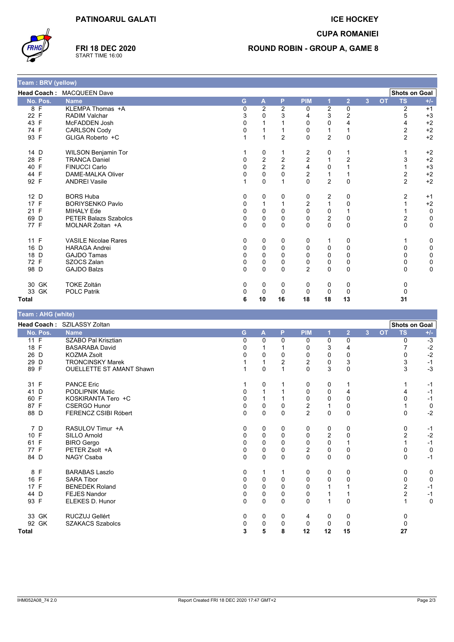

**FRI 18 DEC 2020** START TIME 16:00

## **ICE HOCKEY**

**CUPA ROMANIEI** 

# **ROUND ROBIN - GROUP A, GAME 8**

| Team : BRV (yellow) |                              |   |                         |          |                         |                  |                |                |           |                |             |
|---------------------|------------------------------|---|-------------------------|----------|-------------------------|------------------|----------------|----------------|-----------|----------------|-------------|
|                     | Head Coach: MACQUEEN Dave    |   |                         |          |                         |                  |                |                |           | Shots on Goal  |             |
| No. Pos.            | <b>Name</b>                  | G | $\overline{A}$          | P        | <b>PIM</b>              |                  | $\overline{2}$ | $\overline{3}$ | <b>OT</b> | <b>TS</b>      | $+/-$       |
| F<br>8              | KLEMPA Thomas +A             | 0 | $\overline{\mathbf{c}}$ | 2        | 0                       | 2                | 0              |                |           | 2              | $+1$        |
| $\mathsf{F}$<br>22  | <b>RADIM Valchar</b>         | 3 | 0                       | 3        | 4                       | 3                | 2              |                |           | 5              | $+3$        |
| 43 F                | McFADDEN Josh                | 0 |                         |          | $\mathbf 0$             | 0                | 4              |                |           | 4              | $+2$        |
| 74 F                | <b>CARLSON Cody</b>          | 0 |                         |          | 0                       |                  |                |                |           | 2              | $+2$        |
| 93 F                | GLIGA Roberto +C             |   |                         | 2        | $\mathbf 0$             | $\overline{2}$   | 0              |                |           | $\overline{2}$ | $+2$        |
| 14 D                | <b>WILSON Benjamin Tor</b>   |   | 0                       |          | $\overline{2}$          | 0                |                |                |           |                | $+2$        |
| 28 F                | <b>TRANCA Daniel</b>         | 0 | $\frac{2}{2}$           | 2        | $\overline{\mathbf{c}}$ | 1                | $\overline{c}$ |                |           | 3              | $+2$        |
| 40 F                | <b>FINUCCI Carlo</b>         | 0 |                         | 2        | $\overline{\mathbf{4}}$ | 0                |                |                |           |                | $+3$        |
| 44 F                | <b>DAME-MALKA Oliver</b>     | 0 | $\mathbf 0$             | 0        | $\overline{c}$          | 1                |                |                |           | 2              | $+2$        |
| 92 F                | <b>ANDREI Vasile</b>         |   | $\mathbf 0$             |          | 0                       | $\overline{2}$   | 0              |                |           | $\overline{2}$ | $+2$        |
| 12 D                | <b>BORS Huba</b>             | 0 | 0                       | 0        | 0                       | 2                | 0              |                |           | 2              | $+1$        |
| 17 F                | <b>BORIYSENKO Pavlo</b>      | 0 |                         |          | $\overline{2}$          | 1                | 0              |                |           |                | $+2$        |
| 21 F                | <b>MIHALY Ede</b>            | 0 | $\mathbf 0$             | $\Omega$ | $\mathbf 0$             | 0                |                |                |           |                | 0           |
| 69<br>D             | <b>PETER Balazs Szabolcs</b> | 0 | $\mathbf 0$             | 0        | $\pmb{0}$               | $\boldsymbol{2}$ | 0              |                |           | 2              | 0           |
| 77 F                | MOLNAR Zoltan +A             | 0 | $\mathbf 0$             | $\Omega$ | $\Omega$                | $\mathbf{0}$     | $\mathbf{0}$   |                |           | $\Omega$       | $\mathbf 0$ |
| 11 F                | <b>VASILE Nicolae Rares</b>  | 0 | 0                       | 0        | 0                       | 1                | 0              |                |           |                | 0           |
| 16 D                | <b>HARAGA Andrei</b>         | 0 | 0                       | 0        | 0                       | 0                | 0              |                |           | 0              | 0           |
| 18 D                | <b>GAJDO Tamas</b>           | 0 | 0                       | $\Omega$ | $\mathbf 0$             | 0                | 0              |                |           | 0              | 0           |
| 72 F                | SZOCS Zalan                  | 0 | $\mathbf 0$             | $\Omega$ | $\pmb{0}$               | 0                | 0              |                |           | 0              | 0           |
| 98 D                | <b>GAJDO Balzs</b>           | 0 | 0                       | $\Omega$ | $\overline{2}$          | 0                | 0              |                |           | $\Omega$       | $\mathbf 0$ |
| 30 GK               | <b>TOKE Zoltán</b>           | 0 | 0                       | 0        | 0                       | 0                | 0              |                |           | 0              |             |
| 33 GK               | <b>POLC Patrik</b>           | 0 | 0                       | $\Omega$ | $\Omega$                | 0                | 0              |                |           | 0              |             |
| <b>Total</b>        |                              | 6 | 10                      | 16       | 18                      | 18               | 13             |                |           | 31             |             |

| (white) ו eam : AHG |                                 |          |              |              |                         |          |                |   |           |                      |             |
|---------------------|---------------------------------|----------|--------------|--------------|-------------------------|----------|----------------|---|-----------|----------------------|-------------|
|                     | Head Coach: SZILASSY Zoltan     |          |              |              |                         |          |                |   |           | <b>Shots on Goal</b> |             |
| No. Pos.            | <b>Name</b>                     | G        | A            | P            | <b>PIM</b>              | 1        | $\overline{2}$ | 3 | <b>OT</b> | <b>TS</b>            | $+/-$       |
| 11 F                | SZABO Pal Krisztian             | $\Omega$ | 0            | $\Omega$     | 0                       | $\Omega$ | 0              |   |           | 0                    | $-3$        |
| 18 F                | <b>BASARABA David</b>           |          | 1            |              | 0                       | 3        | 4              |   |           |                      | $-2$        |
| 26 D                | <b>KOZMA Zsolt</b>              |          | 0            | 0            | $\Omega$                | 0        | 0              |   |           |                      | $-2$        |
| 29 D                | <b>TRONCINSKY Marek</b>         |          | 1            | 2            | $\boldsymbol{2}$        | 0        | 3              |   |           | 3                    | $-1$        |
| 89 F                | <b>OUELLETTE ST AMANT Shawn</b> |          | 0            |              | $\mathbf{0}$            | 3        | $\mathbf{0}$   |   |           | 3                    | $-3$        |
| 31 F                | <b>PANCE Eric</b>               |          | 0            |              | 0                       | 0        |                |   |           |                      | $-1$        |
| 41<br>D             | <b>PODLIPNIK Matic</b>          |          |              |              | 0                       | 0        | 4              |   |           |                      | $-1$        |
| 60 F                | KOSKIRANTA Tero +C              | O        | $\mathbf{1}$ |              | $\Omega$                | 0        | 0              |   |           |                      | $-1$        |
| 87 F                | <b>CSERGO Hunor</b>             | 0        | 0            | 0            | $\overline{\mathbf{c}}$ |          | 0              |   |           |                      | 0           |
| 88 D                | <b>FERENCZ CSIBI Róbert</b>     | $\Omega$ | 0            | $\mathbf{0}$ | $\overline{2}$          | $\Omega$ | 0              |   |           | 0                    | $-2$        |
| 7 D                 | RASULOV Timur +A                | 0        | 0            | 0            | 0                       | 0        | 0              |   |           | 0                    | $-1$        |
| 10 F                | <b>SILLO Arnold</b>             | 0        | 0            | $\Omega$     | 0                       | 2        | 0              |   |           | 2                    | $-2$        |
| 61 F                | <b>BIRO Gergo</b>               | 0        | $\Omega$     | 0            | $\Omega$                | $\Omega$ |                |   |           |                      | $-1$        |
| 77 F                | PETER Zsolt +A                  | 0        | 0            | 0            | $\boldsymbol{2}$        | 0        | 0              |   |           |                      | 0           |
| 84 D                | <b>NAGY Csaba</b>               | $\Omega$ | 0            | $\mathbf{0}$ | $\mathbf{0}$            | $\Omega$ | $\Omega$       |   |           | 0                    | $-1$        |
| 8 F                 | <b>BARABAS Laszlo</b>           | 0        | $\mathbf 1$  |              | 0                       | 0        | 0              |   |           | 0                    | 0           |
| 16 F                | <b>SARA Tibor</b>               | 0        | 0            | 0            | 0                       | 0        | 0              |   |           | 0                    | $\mathbf 0$ |
| 17 F                | <b>BENEDEK Roland</b>           | 0        | 0            | 0            | 0                       |          |                |   |           | 2                    | $-1$        |
| 44 D                | <b>FEJES Nandor</b>             | 0        | 0            | 0            | 0                       |          |                |   |           | $\overline{2}$       | $-1$        |
| 93 F                | ELEKES D. Hunor                 | $\Omega$ | 0            | $\mathbf{0}$ | $\Omega$                |          | 0              |   |           |                      | $\mathbf 0$ |
| 33 GK               | RUCZUJ Gellért                  | 0        | 0            | 0            | 4                       | 0        | 0              |   |           | 0                    |             |
| 92 GK               | <b>SZAKACS Szabolcs</b>         | 0        | 0            | 0            | 0                       | 0        | $\Omega$       |   |           | $\Omega$             |             |
| Total               |                                 | 3        | 5            | 8            | 12                      | 12       | 15             |   |           | 27                   |             |